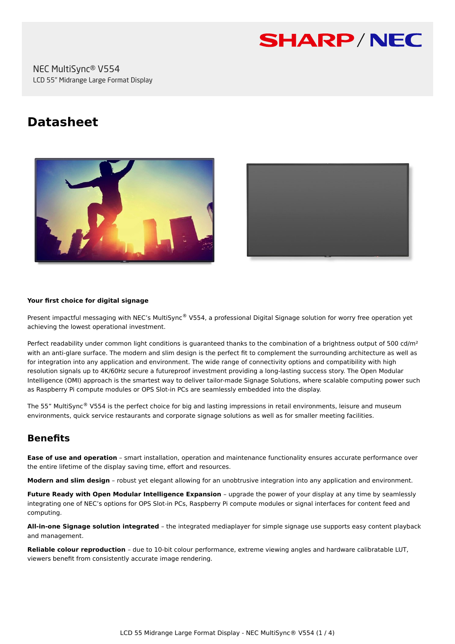

# **Datasheet**





#### **Your first choice for digital signage**

Present impactful messaging with NEC's MultiSync® V554, a professional Digital Signage solution for worry free operation yet achieving the lowest operational investment.

Perfect readability under common light conditions is guaranteed thanks to the combination of a brightness output of 500 cd/m<sup>2</sup> with an anti-glare surface. The modern and slim design is the perfect fit to complement the surrounding architecture as well as for integration into any application and environment. The wide range of connectivity options and compatibility with high resolution signals up to 4K/60Hz secure a futureproof investment providing a long-lasting success story. The Open Modular Intelligence (OMI) approach is the smartest way to deliver tailor-made Signage Solutions, where scalable computing power such as Raspberry Pi compute modules or OPS Slot-in PCs are seamlessly embedded into the display.

The 55" MultiSync® V554 is the perfect choice for big and lasting impressions in retail environments, leisure and museum environments, quick service restaurants and corporate signage solutions as well as for smaller meeting facilities.

# **Benefits**

**Ease of use and operation** – smart installation, operation and maintenance functionality ensures accurate performance over the entire lifetime of the display saving time, effort and resources.

**Modern and slim design** – robust yet elegant allowing for an unobtrusive integration into any application and environment.

**Future Ready with Open Modular Intelligence Expansion** – upgrade the power of your display at any time by seamlessly integrating one of NEC's options for OPS Slot-in PCs, Raspberry Pi compute modules or signal interfaces for content feed and computing.

**All-in-one Signage solution integrated** – the integrated mediaplayer for simple signage use supports easy content playback and management.

**Reliable colour reproduction** – due to 10-bit colour performance, extreme viewing angles and hardware calibratable LUT, viewers benefit from consistently accurate image rendering.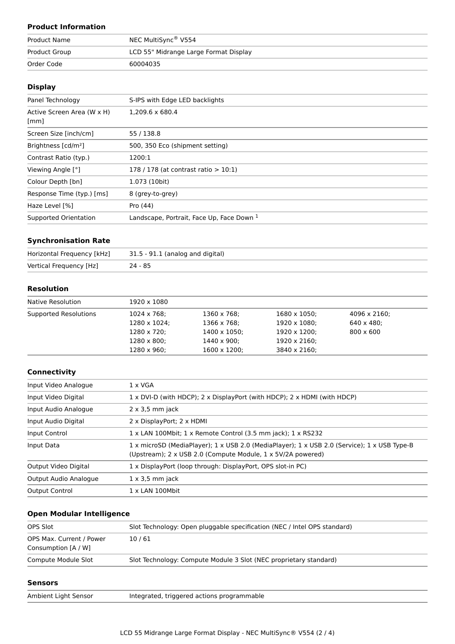## **Product Information**

| Product Name  | NEC MultiSync <sup>®</sup> V554       |
|---------------|---------------------------------------|
| Product Group | LCD 55" Midrange Large Format Display |
| Order Code    | 60004035                              |

#### **Display**

| Panel Technology                   | S-IPS with Edge LED backlights            |
|------------------------------------|-------------------------------------------|
| Active Screen Area (W x H)<br>[mm] | $1.209.6 \times 680.4$                    |
| Screen Size [inch/cm]              | 55 / 138.8                                |
| Brightness [cd/m <sup>2</sup> ]    | 500, 350 Eco (shipment setting)           |
| Contrast Ratio (typ.)              | 1200:1                                    |
| Viewing Angle [°]                  | 178 / 178 (at contrast ratio $> 10:1$ )   |
| Colour Depth [bn]                  | 1.073 (10bit)                             |
| Response Time (typ.) [ms]          | 8 (grey-to-grey)                          |
| Haze Level [%]                     | Pro (44)                                  |
| Supported Orientation              | Landscape, Portrait, Face Up, Face Down 1 |

#### **Synchronisation Rate**

| Horizontal Frequency [kHz] | 31.5 - 91.1 (analog and digital) |
|----------------------------|----------------------------------|
| Vertical Frequency [Hz]    | $24 - 85$                        |

## **Resolution**

| Native Resolution     | 1920 x 1080         |                      |              |                    |  |
|-----------------------|---------------------|----------------------|--------------|--------------------|--|
| Supported Resolutions | $1024 \times 768$ ; | 1360 x 768;          | 1680 x 1050; | 4096 x 2160;       |  |
|                       | 1280 x 1024;        | 1366 x 768;          | 1920 x 1080; | $640 \times 480$ : |  |
|                       | 1280 x 720;         | $1400 \times 1050$ ; | 1920 x 1200; | $800 \times 600$   |  |
|                       | $1280 \times 800$ : | $1440 \times 900$ :  | 1920 x 2160; |                    |  |
|                       | $1280 \times 960$ ; | $1600 \times 1200$ ; | 3840 x 2160; |                    |  |

#### **Connectivity**

| Input Video Analogue  | $1 \times VGA$                                                                                                                                             |  |
|-----------------------|------------------------------------------------------------------------------------------------------------------------------------------------------------|--|
| Input Video Digital   | 1 x DVI-D (with HDCP); 2 x DisplayPort (with HDCP); 2 x HDMI (with HDCP)                                                                                   |  |
| Input Audio Analogue  | $2 \times 3.5$ mm jack                                                                                                                                     |  |
| Input Audio Digital   | 2 x DisplayPort; 2 x HDMI                                                                                                                                  |  |
| Input Control         | 1 x LAN 100Mbit; 1 x Remote Control (3.5 mm jack); 1 x RS232                                                                                               |  |
| Input Data            | 1 x microSD (MediaPlayer); 1 x USB 2.0 (MediaPlayer); 1 x USB 2.0 (Service); 1 x USB Type-B<br>(Upstream); 2 x USB 2.0 (Compute Module, 1 x 5V/2A powered) |  |
| Output Video Digital  | 1 x DisplayPort (loop through: DisplayPort, OPS slot-in PC)                                                                                                |  |
| Output Audio Analogue | $1 \times 3.5$ mm jack                                                                                                                                     |  |
| <b>Output Control</b> | $1 \times$ LAN 100Mbit                                                                                                                                     |  |

## **Open Modular Intelligence**

| OPS Slot                                        | Slot Technology: Open pluggable specification (NEC / Intel OPS standard) |
|-------------------------------------------------|--------------------------------------------------------------------------|
| OPS Max. Current / Power<br>Consumption [A / W] | 10/61                                                                    |
| Compute Module Slot                             | Slot Technology: Compute Module 3 Slot (NEC proprietary standard)        |

#### **Sensors**

or and Integrated, triggered actions programmable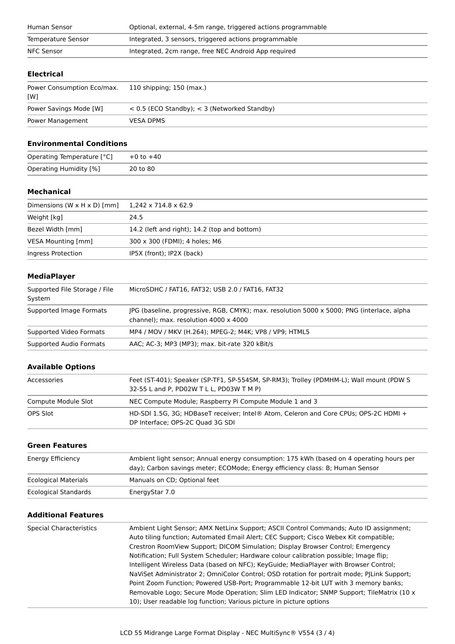| Human Sensor       | Optional, external, 4-5m range, triggered actions programmable |  |
|--------------------|----------------------------------------------------------------|--|
| Temperature Sensor | Integrated, 3 sensors, triggered actions programmable          |  |
| NFC Sensor         | Integrated, 2cm range, free NEC Android App required           |  |

## **Electrical**

| Power Consumption Eco/max.<br>[W] | 110 shipping; 150 (max.)                         |
|-----------------------------------|--------------------------------------------------|
| Power Savings Mode [W]            | $<$ 0.5 (ECO Standby); $<$ 3 (Networked Standby) |
| Power Management                  | <b>VESA DPMS</b>                                 |

#### **Environmental Conditions**

| Operating Temperature [°C] | $+0$ to $+40$ |
|----------------------------|---------------|
| Operating Humidity [%]     | 20 to 80      |

#### **Mechanical**

| Dimensions $(W \times H \times D)$ [mm] | $1.242 \times 714.8 \times 62.9$             |
|-----------------------------------------|----------------------------------------------|
| Weight [kg]                             | 24.5                                         |
| Bezel Width [mm]                        | 14.2 (left and right); 14.2 (top and bottom) |
| VESA Mounting [mm]                      | 300 x 300 (FDMI); 4 holes; M6                |
| Ingress Protection                      | IP5X (front); IP2X (back)                    |

#### **MediaPlayer**

| Supported File Storage / File<br>System | MicroSDHC / FAT16, FAT32; USB 2.0 / FAT16, FAT32                                                                                           |
|-----------------------------------------|--------------------------------------------------------------------------------------------------------------------------------------------|
| Supported Image Formats                 | JPG (baseline, progressive, RGB, CMYK); max. resolution 5000 x 5000; PNG (interlace, alpha<br>channel); max. resolution $4000 \times 4000$ |
| Supported Video Formats                 | MP4 / MOV / MKV (H.264); MPEG-2; M4K; VP8 / VP9; HTML5                                                                                     |
| Supported Audio Formats                 | AAC; AC-3; MP3 (MP3); max. bit-rate 320 kBit/s                                                                                             |

# **Available Options**

| Accessories         | Feet (ST-401); Speaker (SP-TF1, SP-554SM, SP-RM3); Trolley (PDMHM-L); Wall mount (PDW S<br>32-55 L and P, PD02W T L L, PD03W T M P) |
|---------------------|-------------------------------------------------------------------------------------------------------------------------------------|
| Compute Module Slot | NEC Compute Module; Raspberry Pi Compute Module 1 and 3                                                                             |
| OPS Slot            | HD-SDI 1.5G, 3G; HDBaseT receiver; Intel® Atom, Celeron and Core CPUs; OPS-2C HDMI +<br>DP Interface; OPS-2C Quad 3G SDI            |

#### **Green Features**

| Energy Efficiency           | Ambient light sensor; Annual energy consumption: 175 kWh (based on 4 operating hours per<br>day); Carbon savings meter; ECOMode; Energy efficiency class: B; Human Sensor |
|-----------------------------|---------------------------------------------------------------------------------------------------------------------------------------------------------------------------|
| <b>Ecological Materials</b> | Manuals on CD; Optional feet                                                                                                                                              |
| <b>Ecological Standards</b> | EnergyStar 7.0                                                                                                                                                            |

## **Additional Features**

| <b>Special Characteristics</b> | Ambient Light Sensor; AMX NetLinx Support; ASCII Control Commands; Auto ID assignment;<br>Auto tiling function; Automated Email Alert; CEC Support; Cisco Webex Kit compatible;<br>Crestron RoomView Support; DICOM Simulation; Display Browser Control; Emergency<br>Notification; Full System Scheduler; Hardware colour calibration possible; Image flip;<br>Intelligent Wireless Data (based on NFC); KeyGuide; MediaPlayer with Browser Control;<br>NaViSet Administrator 2; OmniColor Control; OSD rotation for portrait mode; PILink Support; |
|--------------------------------|------------------------------------------------------------------------------------------------------------------------------------------------------------------------------------------------------------------------------------------------------------------------------------------------------------------------------------------------------------------------------------------------------------------------------------------------------------------------------------------------------------------------------------------------------|
|                                | Point Zoom Function; Powered USB-Port; Programmable 12-bit LUT with 3 memory banks;<br>Removable Logo; Secure Mode Operation; Slim LED Indicator; SNMP Support; TileMatrix (10 x<br>10); User readable log function; Various picture in picture options                                                                                                                                                                                                                                                                                              |